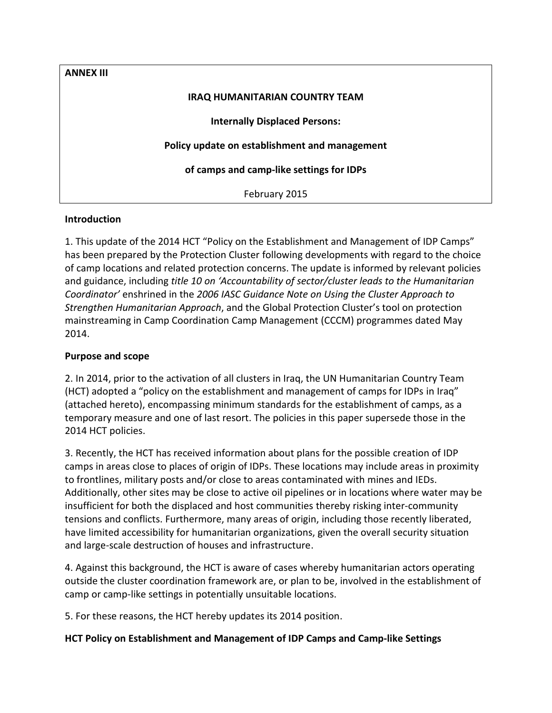**ANNEX III IRAQ HUMANITARIAN COUNTRY TEAM Internally Displaced Persons: Policy update on establishment and management of camps and camp-like settings for IDPs** February 2015

## **Introduction**

1. This update of the 2014 HCT "Policy on the Establishment and Management of IDP Camps" has been prepared by the Protection Cluster following developments with regard to the choice of camp locations and related protection concerns. The update is informed by relevant policies and guidance, including *title 10 on 'Accountability of sector/cluster leads to the Humanitarian Coordinator'* enshrined in the *2006 IASC Guidance Note on Using the Cluster Approach to Strengthen Humanitarian Approach*, and the Global Protection Cluster's tool on protection mainstreaming in Camp Coordination Camp Management (CCCM) programmes dated May 2014.

## **Purpose and scope**

2. In 2014, prior to the activation of all clusters in Iraq, the UN Humanitarian Country Team (HCT) adopted a "policy on the establishment and management of camps for IDPs in Iraq" (attached hereto), encompassing minimum standards for the establishment of camps, as a temporary measure and one of last resort. The policies in this paper supersede those in the 2014 HCT policies.

3. Recently, the HCT has received information about plans for the possible creation of IDP camps in areas close to places of origin of IDPs. These locations may include areas in proximity to frontlines, military posts and/or close to areas contaminated with mines and IEDs. Additionally, other sites may be close to active oil pipelines or in locations where water may be insufficient for both the displaced and host communities thereby risking inter-community tensions and conflicts. Furthermore, many areas of origin, including those recently liberated, have limited accessibility for humanitarian organizations, given the overall security situation and large-scale destruction of houses and infrastructure.

4. Against this background, the HCT is aware of cases whereby humanitarian actors operating outside the cluster coordination framework are, or plan to be, involved in the establishment of camp or camp-like settings in potentially unsuitable locations.

5. For these reasons, the HCT hereby updates its 2014 position.

## **HCT Policy on Establishment and Management of IDP Camps and Camp-like Settings**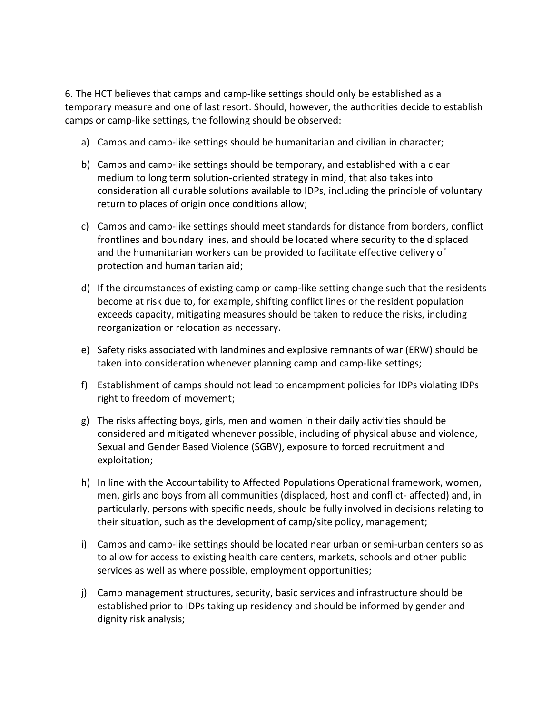6. The HCT believes that camps and camp-like settings should only be established as a temporary measure and one of last resort. Should, however, the authorities decide to establish camps or camp-like settings, the following should be observed:

- a) Camps and camp-like settings should be humanitarian and civilian in character;
- b) Camps and camp-like settings should be temporary, and established with a clear medium to long term solution-oriented strategy in mind, that also takes into consideration all durable solutions available to IDPs, including the principle of voluntary return to places of origin once conditions allow;
- c) Camps and camp-like settings should meet standards for distance from borders, conflict frontlines and boundary lines, and should be located where security to the displaced and the humanitarian workers can be provided to facilitate effective delivery of protection and humanitarian aid;
- d) If the circumstances of existing camp or camp-like setting change such that the residents become at risk due to, for example, shifting conflict lines or the resident population exceeds capacity, mitigating measures should be taken to reduce the risks, including reorganization or relocation as necessary.
- e) Safety risks associated with landmines and explosive remnants of war (ERW) should be taken into consideration whenever planning camp and camp-like settings;
- f) Establishment of camps should not lead to encampment policies for IDPs violating IDPs right to freedom of movement;
- g) The risks affecting boys, girls, men and women in their daily activities should be considered and mitigated whenever possible, including of physical abuse and violence, Sexual and Gender Based Violence (SGBV), exposure to forced recruitment and exploitation;
- h) In line with the Accountability to Affected Populations Operational framework, women, men, girls and boys from all communities (displaced, host and conflict- affected) and, in particularly, persons with specific needs, should be fully involved in decisions relating to their situation, such as the development of camp/site policy, management;
- i) Camps and camp-like settings should be located near urban or semi-urban centers so as to allow for access to existing health care centers, markets, schools and other public services as well as where possible, employment opportunities;
- j) Camp management structures, security, basic services and infrastructure should be established prior to IDPs taking up residency and should be informed by gender and dignity risk analysis;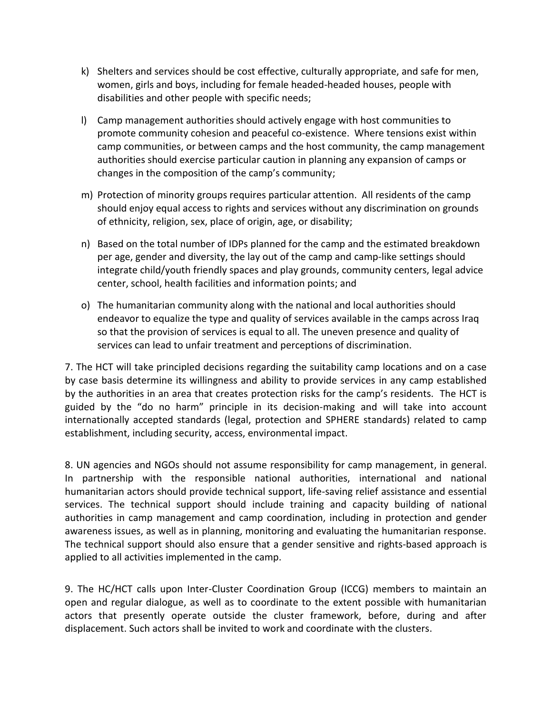- k) Shelters and services should be cost effective, culturally appropriate, and safe for men, women, girls and boys, including for female headed-headed houses, people with disabilities and other people with specific needs;
- l) Camp management authorities should actively engage with host communities to promote community cohesion and peaceful co-existence. Where tensions exist within camp communities, or between camps and the host community, the camp management authorities should exercise particular caution in planning any expansion of camps or changes in the composition of the camp's community;
- m) Protection of minority groups requires particular attention. All residents of the camp should enjoy equal access to rights and services without any discrimination on grounds of ethnicity, religion, sex, place of origin, age, or disability;
- n) Based on the total number of IDPs planned for the camp and the estimated breakdown per age, gender and diversity, the lay out of the camp and camp-like settings should integrate child/youth friendly spaces and play grounds, community centers, legal advice center, school, health facilities and information points; and
- o) The humanitarian community along with the national and local authorities should endeavor to equalize the type and quality of services available in the camps across Iraq so that the provision of services is equal to all. The uneven presence and quality of services can lead to unfair treatment and perceptions of discrimination.

7. The HCT will take principled decisions regarding the suitability camp locations and on a case by case basis determine its willingness and ability to provide services in any camp established by the authorities in an area that creates protection risks for the camp's residents. The HCT is guided by the "do no harm" principle in its decision-making and will take into account internationally accepted standards (legal, protection and SPHERE standards) related to camp establishment, including security, access, environmental impact.

8. UN agencies and NGOs should not assume responsibility for camp management, in general. In partnership with the responsible national authorities, international and national humanitarian actors should provide technical support, life-saving relief assistance and essential services. The technical support should include training and capacity building of national authorities in camp management and camp coordination, including in protection and gender awareness issues, as well as in planning, monitoring and evaluating the humanitarian response. The technical support should also ensure that a gender sensitive and rights-based approach is applied to all activities implemented in the camp.

9. The HC/HCT calls upon Inter-Cluster Coordination Group (ICCG) members to maintain an open and regular dialogue, as well as to coordinate to the extent possible with humanitarian actors that presently operate outside the cluster framework, before, during and after displacement. Such actors shall be invited to work and coordinate with the clusters.